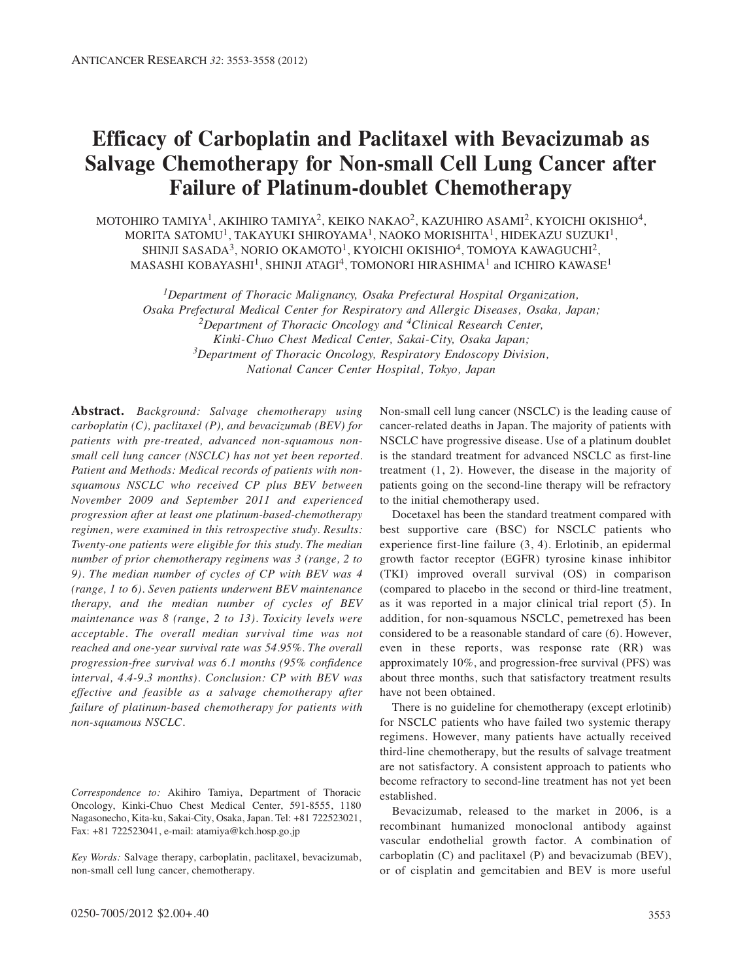# **Efficacy of Carboplatin and Paclitaxel with Bevacizumab as Salvage Chemotherapy for Non-small Cell Lung Cancer after Failure of Platinum-doublet Chemotherapy**

MOTOHIRO TAMIYA<sup>1</sup>, AKIHIRO TAMIYA<sup>2</sup>, KEIKO NAKAO<sup>2</sup>, KAZUHIRO ASAMI<sup>2</sup>, KYOICHI OKISHIO<sup>4</sup>, MORITA SATOMU<sup>1</sup>, TAKAYUKI SHIROYAMA<sup>1</sup>, NAOKO MORISHITA<sup>1</sup>, HIDEKAZU SUZUKI<sup>1</sup>, SHINJI SASADA<sup>3</sup>, NORIO OKAMOTO<sup>1</sup>, KYOICHI OKISHIO<sup>4</sup>, TOMOYA KAWAGUCHI<sup>2</sup>, MASASHI KOBAYASHI<sup>1</sup>, SHINJI ATAGI<sup>4</sup>, TOMONORI HIRASHIMA<sup>1</sup> and ICHIRO KAWASE<sup>1</sup>

*1Department of Thoracic Malignancy, Osaka Prefectural Hospital Organization, Osaka Prefectural Medical Center for Respiratory and Allergic Diseases, Osaka, Japan; 2Department of Thoracic Oncology and 4Clinical Research Center, Kinki-Chuo Chest Medical Center, Sakai-City, Osaka Japan; 3Department of Thoracic Oncology, Respiratory Endoscopy Division, National Cancer Center Hospital, Tokyo, Japan*

**Abstract.** *Background: Salvage chemotherapy using carboplatin (C), paclitaxel (P), and bevacizumab (BEV) for patients with pre-treated, advanced non-squamous nonsmall cell lung cancer (NSCLC) has not yet been reported. Patient and Methods: Medical records of patients with nonsquamous NSCLC who received CP plus BEV between November 2009 and September 2011 and experienced progression after at least one platinum-based-chemotherapy regimen, were examined in this retrospective study. Results: Twenty-one patients were eligible for this study. The median number of prior chemotherapy regimens was 3 (range, 2 to 9). The median number of cycles of CP with BEV was 4 (range, 1 to 6). Seven patients underwent BEV maintenance therapy, and the median number of cycles of BEV maintenance was 8 (range, 2 to 13). Toxicity levels were acceptable. The overall median survival time was not reached and one-year survival rate was 54.95%. The overall progression-free survival was 6.1 months (95% confidence interval, 4.4-9.3 months). Conclusion: CP with BEV was effective and feasible as a salvage chemotherapy after failure of platinum-based chemotherapy for patients with non-squamous NSCLC.*

*Correspondence to:* Akihiro Tamiya, Department of Thoracic Oncology, Kinki-Chuo Chest Medical Center, 591-8555, 1180 Nagasonecho, Kita-ku, Sakai-City, Osaka, Japan. Tel: +81 722523021, Fax: +81 722523041, e-mail: atamiya@kch.hosp.go.jp

*Key Words:* Salvage therapy, carboplatin, paclitaxel, bevacizumab, non-small cell lung cancer, chemotherapy.

Non-small cell lung cancer (NSCLC) is the leading cause of cancer-related deaths in Japan. The majority of patients with NSCLC have progressive disease. Use of a platinum doublet is the standard treatment for advanced NSCLC as first-line treatment (1, 2). However, the disease in the majority of patients going on the second-line therapy will be refractory to the initial chemotherapy used.

Docetaxel has been the standard treatment compared with best supportive care (BSC) for NSCLC patients who experience first-line failure (3, 4). Erlotinib, an epidermal growth factor receptor (EGFR) tyrosine kinase inhibitor (TKI) improved overall survival (OS) in comparison (compared to placebo in the second or third-line treatment, as it was reported in a major clinical trial report (5). In addition, for non-squamous NSCLC, pemetrexed has been considered to be a reasonable standard of care (6). However, even in these reports, was response rate (RR) was approximately 10%, and progression-free survival (PFS) was about three months, such that satisfactory treatment results have not been obtained.

There is no guideline for chemotherapy (except erlotinib) for NSCLC patients who have failed two systemic therapy regimens. However, many patients have actually received third-line chemotherapy, but the results of salvage treatment are not satisfactory. A consistent approach to patients who become refractory to second-line treatment has not yet been established.

Bevacizumab, released to the market in 2006, is a recombinant humanized monoclonal antibody against vascular endothelial growth factor. A combination of carboplatin (C) and paclitaxel (P) and bevacizumab (BEV), or of cisplatin and gemcitabien and BEV is more useful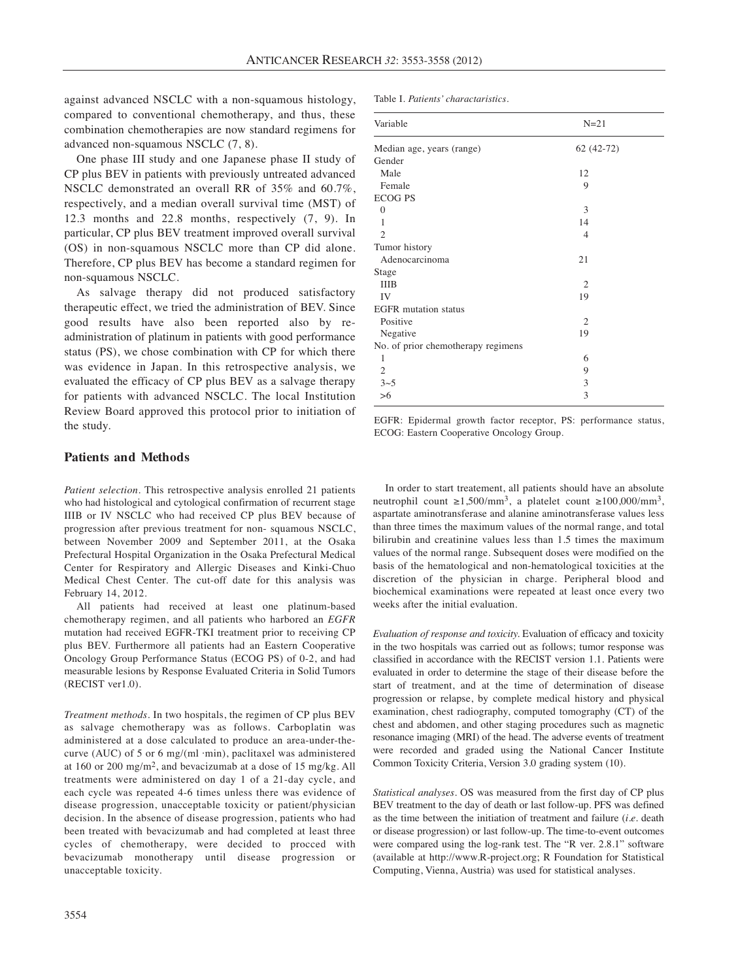against advanced NSCLC with a non-squamous histology, compared to conventional chemotherapy, and thus, these combination chemotherapies are now standard regimens for advanced non-squamous NSCLC (7, 8).

One phase III study and one Japanese phase II study of CP plus BEV in patients with previously untreated advanced NSCLC demonstrated an overall RR of 35% and 60.7%, respectively, and a median overall survival time (MST) of 12.3 months and 22.8 months, respectively (7, 9). In particular, CP plus BEV treatment improved overall survival (OS) in non-squamous NSCLC more than CP did alone. Therefore, CP plus BEV has become a standard regimen for non-squamous NSCLC.

As salvage therapy did not produced satisfactory therapeutic effect, we tried the administration of BEV. Since good results have also been reported also by readministration of platinum in patients with good performance status (PS), we chose combination with CP for which there was evidence in Japan. In this retrospective analysis, we evaluated the efficacy of CP plus BEV as a salvage therapy for patients with advanced NSCLC. The local Institution Review Board approved this protocol prior to initiation of the study.

## **Patients and Methods**

*Patient selection.* This retrospective analysis enrolled 21 patients who had histological and cytological confirmation of recurrent stage IIIB or IV NSCLC who had received CP plus BEV because of progression after previous treatment for non- squamous NSCLC, between November 2009 and September 2011, at the Osaka Prefectural Hospital Organization in the Osaka Prefectural Medical Center for Respiratory and Allergic Diseases and Kinki-Chuo Medical Chest Center. The cut-off date for this analysis was February 14, 2012.

All patients had received at least one platinum-based chemotherapy regimen, and all patients who harbored an *EGFR* mutation had received EGFR-TKI treatment prior to receiving CP plus BEV. Furthermore all patients had an Eastern Cooperative Oncology Group Performance Status (ECOG PS) of 0-2, and had measurable lesions by Response Evaluated Criteria in Solid Tumors (RECIST ver1.0).

*Treatment methods.* In two hospitals, the regimen of CP plus BEV as salvage chemotherapy was as follows. Carboplatin was administered at a dose calculated to produce an area-under-thecurve (AUC) of 5 or 6 mg/(ml  $\cdot$ min), paclitaxel was administered at 160 or 200 mg/m2, and bevacizumab at a dose of 15 mg/kg. All treatments were administered on day 1 of a 21-day cycle, and each cycle was repeated 4-6 times unless there was evidence of disease progression, unacceptable toxicity or patient/physician decision. In the absence of disease progression, patients who had been treated with bevacizumab and had completed at least three cycles of chemotherapy, were decided to procced with bevacizumab monotherapy until disease progression or unacceptable toxicity.

Table I. *Patients' charactaristics.*

| Variable                           | $N=21$         |  |
|------------------------------------|----------------|--|
| Median age, years (range)          | $62(42-72)$    |  |
| Gender                             |                |  |
| Male                               | 12             |  |
| Female                             | 9              |  |
| <b>ECOG PS</b>                     |                |  |
| $\overline{0}$                     | 3              |  |
| 1                                  | 14             |  |
| $\mathfrak{D}$                     | $\overline{4}$ |  |
| Tumor history                      |                |  |
| Adenocarcinoma                     | 21             |  |
| Stage                              |                |  |
| <b>IIIB</b>                        | $\overline{2}$ |  |
| IV                                 | 19             |  |
| <b>EGFR</b> mutation status        |                |  |
| Positive                           | $\mathfrak{2}$ |  |
| Negative                           | 19             |  |
| No. of prior chemotherapy regimens |                |  |
| 1                                  | 6              |  |
| 2                                  | 9              |  |
| $3 - 5$                            | 3              |  |
| $>6$                               | 3              |  |

EGFR: Epidermal growth factor receptor, PS: performance status, ECOG: Eastern Cooperative Oncology Group.

In order to start treatement, all patients should have an absolute neutrophil count ≥1,500/mm<sup>3</sup>, a platelet count ≥100,000/mm<sup>3</sup>, aspartate aminotransferase and alanine aminotransferase values less than three times the maximum values of the normal range, and total bilirubin and creatinine values less than 1.5 times the maximum values of the normal range. Subsequent doses were modified on the basis of the hematological and non-hematological toxicities at the discretion of the physician in charge. Peripheral blood and biochemical examinations were repeated at least once every two weeks after the initial evaluation.

*Evaluation of response and toxicity.* Evaluation of efficacy and toxicity in the two hospitals was carried out as follows; tumor response was classified in accordance with the RECIST version 1.1. Patients were evaluated in order to determine the stage of their disease before the start of treatment, and at the time of determination of disease progression or relapse, by complete medical history and physical examination, chest radiography, computed tomography (CT) of the chest and abdomen, and other staging procedures such as magnetic resonance imaging (MRI) of the head. The adverse events of treatment were recorded and graded using the National Cancer Institute Common Toxicity Criteria, Version 3.0 grading system (10).

*Statistical analyses.* OS was measured from the first day of CP plus BEV treatment to the day of death or last follow-up. PFS was defined as the time between the initiation of treatment and failure (*i.e.* death or disease progression) or last follow-up. The time-to-event outcomes were compared using the log-rank test. The "R ver. 2.8.1" software (available at http://www.R-project.org; R Foundation for Statistical Computing, Vienna, Austria) was used for statistical analyses.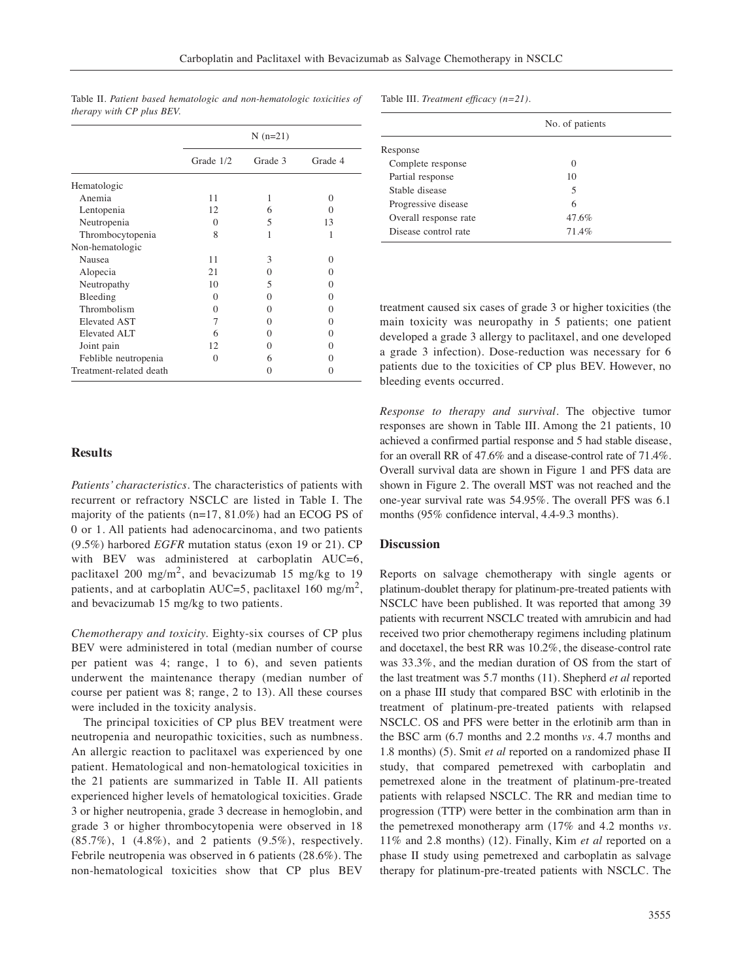|                         |                   | $N(n=21)$    |                   |
|-------------------------|-------------------|--------------|-------------------|
|                         | Grade 1/2         | Grade 3      | Grade 4           |
| Hematologic             |                   |              |                   |
| Anemia                  | 11                | 1            | 0                 |
| Lentopenia              | 12                | 6            | $\mathbf{\Omega}$ |
| Neutropenia             | $\mathbf{\Omega}$ | 5            | 13                |
| Thrombocytopenia        | 8                 | 1            | 1                 |
| Non-hematologic         |                   |              |                   |
| Nausea                  | 11                | 3            | 0                 |
| Alopecia                | 21                | 0            | 0                 |
| Neutropathy             | 10                | 5            | $\mathbf{0}$      |
| Bleeding                | 0                 | $\mathbf{0}$ | $\mathbf{0}$      |
| Thrombolism             | 0                 | $\Omega$     | 0                 |
| <b>Elevated AST</b>     | 7                 | $\theta$     | 0                 |
| Elevated ALT            | 6                 | $\mathbf{0}$ | 0                 |
| Joint pain              | 12                | $\mathbf{0}$ | $\mathbf{0}$      |
| Feblible neutropenia    | 0                 | 6            | $\mathbf{\Omega}$ |
| Treatment-related death |                   | 0            | 0                 |

Table II. *Patient based hematologic and non-hematologic toxicities of therapy with CP plus BEV.*

# **Results**

*Patients' characteristics.* The characteristics of patients with recurrent or refractory NSCLC are listed in Table I. The majority of the patients (n=17, 81.0%) had an ECOG PS of 0 or 1. All patients had adenocarcinoma, and two patients (9.5%) harbored *EGFR* mutation status (exon 19 or 21). CP with BEV was administered at carbon ation AUC=6. paclitaxel 200 mg/m<sup>2</sup>, and bevacizumab 15 mg/kg to 19 patients, and at carboplatin AUC=5, paclitaxel 160 mg/m<sup>2</sup>, and bevacizumab 15 mg/kg to two patients.

*Chemotherapy and toxicity.* Eighty-six courses of CP plus BEV were administered in total (median number of course per patient was 4; range, 1 to 6), and seven patients underwent the maintenance therapy (median number of course per patient was 8; range, 2 to 13). All these courses were included in the toxicity analysis.

The principal toxicities of CP plus BEV treatment were neutropenia and neuropathic toxicities, such as numbness. An allergic reaction to paclitaxel was experienced by one patient. Hematological and non-hematological toxicities in the 21 patients are summarized in Table II. All patients experienced higher levels of hematological toxicities. Grade 3 or higher neutropenia, grade 3 decrease in hemoglobin, and grade 3 or higher thrombocytopenia were observed in 18 (85.7%), 1 (4.8%), and 2 patients (9.5%), respectively. Febrile neutropenia was observed in 6 patients (28.6%). The non-hematological toxicities show that CP plus BEV

|  |  | Table III. Treatment efficacy $(n=21)$ . |  |  |
|--|--|------------------------------------------|--|--|
|--|--|------------------------------------------|--|--|

|                       | No. of patients |  |
|-----------------------|-----------------|--|
| Response              |                 |  |
| Complete response     | 0               |  |
| Partial response      | 10              |  |
| Stable disease        | 5               |  |
| Progressive disease   | 6               |  |
| Overall response rate | 47.6%           |  |
| Disease control rate  | 71.4%           |  |

treatment caused six cases of grade 3 or higher toxicities (the main toxicity was neuropathy in 5 patients; one patient developed a grade 3 allergy to paclitaxel, and one developed a grade 3 infection). Dose-reduction was necessary for 6 patients due to the toxicities of CP plus BEV. However, no bleeding events occurred.

*Response to therapy and survival.* The objective tumor responses are shown in Table III. Among the 21 patients, 10 achieved a confirmed partial response and 5 had stable disease, for an overall RR of 47.6% and a disease-control rate of 71.4%. Overall survival data are shown in Figure 1 and PFS data are shown in Figure 2. The overall MST was not reached and the one-year survival rate was 54.95%. The overall PFS was 6.1 months (95% confidence interval, 4.4-9.3 months).

#### **Discussion**

Reports on salvage chemotherapy with single agents or platinum-doublet therapy for platinum-pre-treated patients with NSCLC have been published. It was reported that among 39 patients with recurrent NSCLC treated with amrubicin and had received two prior chemotherapy regimens including platinum and docetaxel, the best RR was 10.2%, the disease-control rate was 33.3%, and the median duration of OS from the start of the last treatment was 5.7 months (11). Shepherd *et al* reported on a phase III study that compared BSC with erlotinib in the treatment of platinum-pre-treated patients with relapsed NSCLC. OS and PFS were better in the erlotinib arm than in the BSC arm (6.7 months and 2.2 months *vs.* 4.7 months and 1.8 months) (5). Smit *et al* reported on a randomized phase II study, that compared pemetrexed with carboplatin and pemetrexed alone in the treatment of platinum-pre-treated patients with relapsed NSCLC. The RR and median time to progression (TTP) were better in the combination arm than in the pemetrexed monotherapy arm (17% and 4.2 months *vs.* 11% and 2.8 months) (12). Finally, Kim *et al* reported on a phase II study using pemetrexed and carboplatin as salvage therapy for platinum-pre-treated patients with NSCLC. The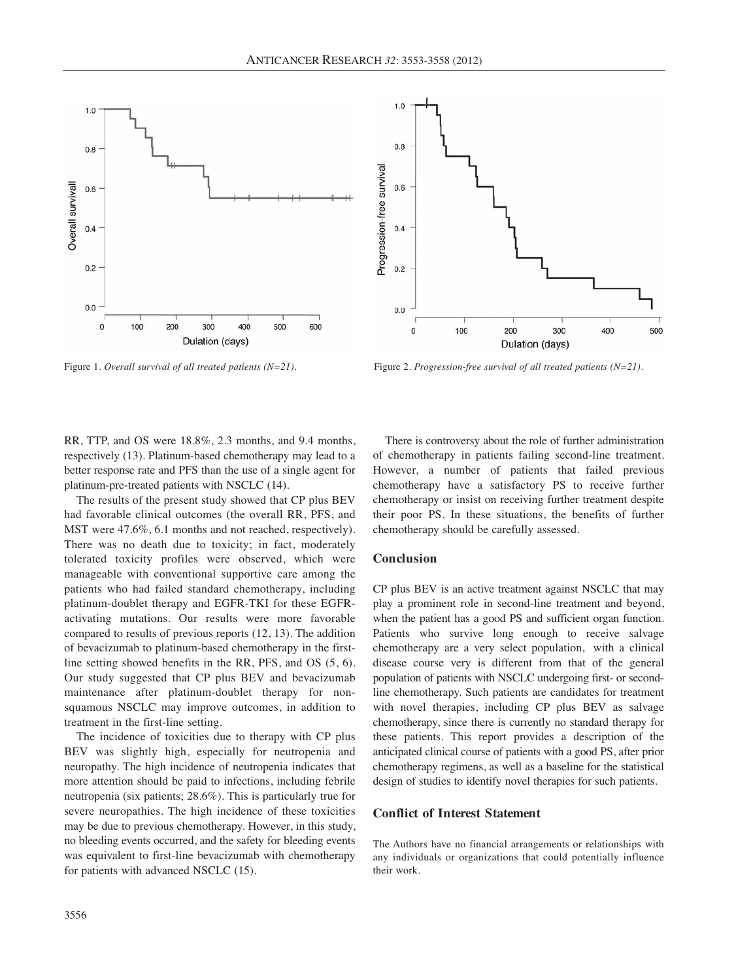

 $10$  $0.8$ Progression-free survival  $0.6$  $0.4$  $0.2$  $0.0$ 300  $\overline{0}$ 100 200 400 500 Dulation (days)

Figure 1. *Overall survival of all treated patients (N=21).* Figure 2. *Progression-free survival of all treated patients (N=21).* 

RR, TTP, and OS were 18.8%, 2.3 months, and 9.4 months, respectively (13). Platinum-based chemotherapy may lead to a better response rate and PFS than the use of a single agent for platinum-pre-treated patients with NSCLC (14).

The results of the present study showed that CP plus BEV had favorable clinical outcomes (the overall RR, PFS, and MST were 47.6%, 6.1 months and not reached, respectively). There was no death due to toxicity; in fact, moderately tolerated toxicity profiles were observed, which were manageable with conventional supportive care among the patients who had failed standard chemotherapy, including platinum-doublet therapy and EGFR-TKI for these EGFRactivating mutations. Our results were more favorable compared to results of previous reports (12, 13). The addition of bevacizumab to platinum-based chemotherapy in the firstline setting showed benefits in the RR, PFS, and OS (5, 6). Our study suggested that CP plus BEV and bevacizumab maintenance after platinum-doublet therapy for nonsquamous NSCLC may improve outcomes, in addition to treatment in the first-line setting.

The incidence of toxicities due to therapy with CP plus BEV was slightly high, especially for neutropenia and neuropathy. The high incidence of neutropenia indicates that more attention should be paid to infections, including febrile neutropenia (six patients; 28.6%). This is particularly true for severe neuropathies. The high incidence of these toxicities may be due to previous chemotherapy. However, in this study, no bleeding events occurred, and the safety for bleeding events was equivalent to first-line bevacizumab with chemotherapy for patients with advanced NSCLC (15).

There is controversy about the role of further administration of chemotherapy in patients failing second-line treatment. However, a number of patients that failed previous chemotherapy have a satisfactory PS to receive further chemotherapy or insist on receiving further treatment despite their poor PS. In these situations, the benefits of further chemotherapy should be carefully assessed.

#### **Conclusion**

CP plus BEV is an active treatment against NSCLC that may play a prominent role in second-line treatment and beyond, when the patient has a good PS and sufficient organ function. Patients who survive long enough to receive salvage chemotherapy are a very select population, with a clinical disease course very is different from that of the general population of patients with NSCLC undergoing first- or secondline chemotherapy. Such patients are candidates for treatment with novel therapies, including CP plus BEV as salvage chemotherapy, since there is currently no standard therapy for these patients. This report provides a description of the anticipated clinical course of patients with a good PS, after prior chemotherapy regimens, as well as a baseline for the statistical design of studies to identify novel therapies for such patients.

### **Conflict of Interest Statement**

The Authors have no financial arrangements or relationships with any individuals or organizations that could potentially influence their work.